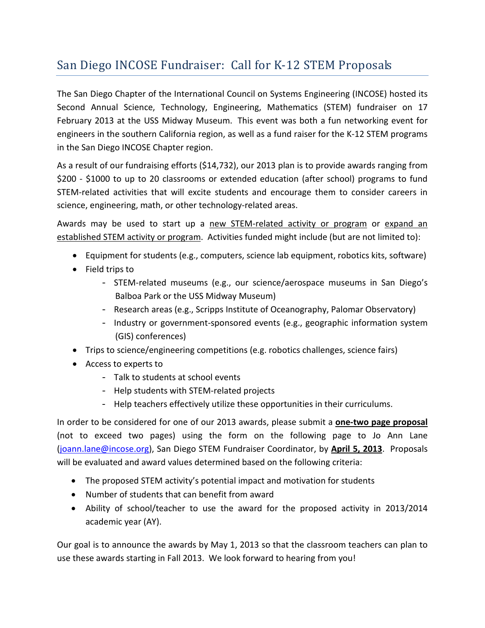## San Diego INCOSE Fundraiser: Call for K-12 STEM Proposals

The San Diego Chapter of the International Council on Systems Engineering (INCOSE) hosted its Second Annual Science, Technology, Engineering, Mathematics (STEM) fundraiser on 17 February 2013 at the USS Midway Museum. This event was both a fun networking event for engineers in the southern California region, as well as a fund raiser for the K-12 STEM programs in the San Diego INCOSE Chapter region.

As a result of our fundraising efforts (\$14,732), our 2013 plan is to provide awards ranging from \$200 - \$1000 to up to 20 classrooms or extended education (after school) programs to fund STEM-related activities that will excite students and encourage them to consider careers in science, engineering, math, or other technology-related areas.

Awards may be used to start up a new STEM-related activity or program or expand an established STEM activity or program. Activities funded might include (but are not limited to):

- Equipment for students (e.g., computers, science lab equipment, robotics kits, software)
- Field trips to
	- STEM-related museums (e.g., our science/aerospace museums in San Diego's Balboa Park or the USS Midway Museum)
	- Research areas (e.g., Scripps Institute of Oceanography, Palomar Observatory)
	- Industry or government-sponsored events (e.g., geographic information system (GIS) conferences)
- Trips to science/engineering competitions (e.g. robotics challenges, science fairs)
- Access to experts to
	- Talk to students at school events
	- Help students with STEM-related projects
	- Help teachers effectively utilize these opportunities in their curriculums.

In order to be considered for one of our 2013 awards, please submit a **one-two page proposal** (not to exceed two pages) using the form on the following page to Jo Ann Lane [\(joann.lane@incose.org\)](mailto:joann.lane@incose.org), San Diego STEM Fundraiser Coordinator, by **April 5, 2013**. Proposals will be evaluated and award values determined based on the following criteria:

- The proposed STEM activity's potential impact and motivation for students
- Number of students that can benefit from award
- Ability of school/teacher to use the award for the proposed activity in 2013/2014 academic year (AY).

Our goal is to announce the awards by May 1, 2013 so that the classroom teachers can plan to use these awards starting in Fall 2013. We look forward to hearing from you!